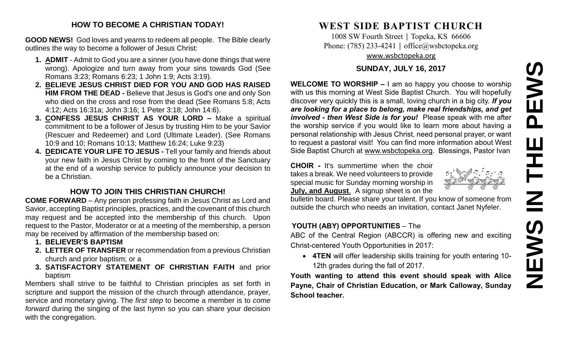# **NEWS IN THE PEWS**PEWS Ш ᆍ  $\overline{\mathbf{Z}}$ **SANEWS**

#### **HOW TO BECOME A CHRISTIAN TODAY!**

**GOOD NEWS!** God loves and yearns to redeem all people. The Bible clearly outlines the way to become a follower of Jesus Christ:

- **1. ADMIT** Admit to God you are a sinner (you have done things that were wrong). Apologize and turn away from your sins towards God (See Romans 3:23; Romans 6:23; 1 John 1:9; Acts 3:19).
- **2. BELIEVE JESUS CHRIST DIED FOR YOU AND GOD HAS RAISED HIM FROM THE DEAD -** Believe that Jesus is God's one and only Son who died on the cross and rose from the dead (See Romans 5:8; Acts 4:12; Acts 16:31a; John 3:16; 1 Peter 3:18; John 14:6).
- **3. CONFESS JESUS CHRIST AS YOUR LORD –** Make a spiritual commitment to be a follower of Jesus by trusting Him to be your Savior (Rescuer and Redeemer) and Lord (Ultimate Leader). (See Romans 10:9 and 10; Romans 10:13; Matthew 16:24; Luke 9:23)
- **4. DEDICATE YOUR LIFE TO JESUS -** Tell your family and friends about your new faith in Jesus Christ by coming to the front of the Sanctuary at the end of a worship service to publicly announce your decision to be a Christian.

### **HOW TO JOIN THIS CHRISTIAN CHURCH!**

**COME FORWARD** – Any person professing faith in Jesus Christ as Lord and Savior, accepting Baptist principles, practices, and the covenant of this church may request and be accepted into the membership of this church. Upon request to the Pastor, Moderator or at a meeting of the membership, a person may be received by affirmation of the membership based on:

- **1. BELIEVER'S BAPTISM**
- **2. LETTER OF TRANSFER** or recommendation from a previous Christian church and prior baptism; or a
- **3. SATISFACTORY STATEMENT OF CHRISTIAN FAITH** and prior baptism

Members shall strive to be faithful to Christian principles as set forth in scripture and support the mission of the church through attendance, prayer, service and monetary giving. The *first step* to become a member is to *come forward* during the singing of the last hymn so you can share your decision with the congregation.

## **WEST SIDE BAPTIST CHURCH**

1008 SW Fourth Street | Topeka, KS 66606 Phone: (785) 233-4241 │ [office@wsbctopeka.org](mailto:office@wsbctopeka.org) [www.wsbctopeka.org](http://www.wsbctopeka.org/)

#### **SUNDAY, JULY 16, 2017**

**WELCOME TO WORSHIP –** I am so happy you choose to worship with us this morning at West Side Baptist Church. You will hopefully discover very quickly this is a small, loving church in a big city. *If you are looking for a place to belong, make real friendships, and get involved - then West Side is for you!* Please speak with me after the worship service if you would like to learn more about having a personal relationship with Jesus Christ, need personal prayer, or want to request a pastoral visit! You can find more information about West Side Baptist Church at [www.wsbctopeka.org.](http://www.wsbctopeka.org/) Blessings, Pastor Ivan

**CHOIR -** It's summertime when the choir takes a break. We need volunteers to provide special music for Sunday morning worship in **July, and August**. A signup sheet is on the

bulletin board. Please share your talent. If you know of someone from outside the church who needs an invitation, contact Janet Nyfeler.

#### **YOUTH (ABY) OPPORTUNITIES** – The

ABC of the Central Region (ABCCR) is offering new and exciting Christ-centered Youth Opportunities in 2017:

• **4TEN** will offer leadership skills training for youth entering 10- 12th grades during the fall of 2017.

**Youth wanting to attend this event should speak with Alice Payne, Chair of Christian Education, or Mark Calloway, Sunday School teacher.**

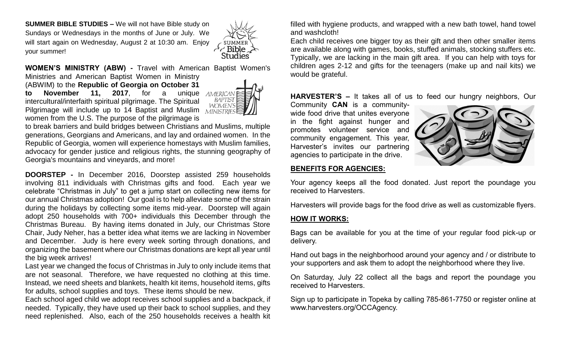**SUMMER BIBLE STUDIES –** We will not have Bible study on Sundays or Wednesdays in the months of June or July. We will start again on Wednesday, August 2 at 10:30 am. Enjoy your summer!



**WOMEN'S MINISTRY (ABW) -** Travel with American Baptist Women's Ministries and American Baptist Women in Ministry

(ABWIM) to the **Republic of Georgia on October 31 to November 11, 2017**, for a unique intercultural/interfaith spiritual pilgrimage. The Spiritual Pilgrimage will include up to 14 Baptist and Muslim women from the U.S. The purpose of the pilgrimage is



to break barriers and build bridges between Christians and Muslims, multiple generations, Georgians and Americans, and lay and ordained women. In the Republic of Georgia, women will experience homestays with Muslim families, advocacy for gender justice and religious rights, the stunning geography of Georgia's mountains and vineyards, and more!

**DOORSTEP -** In December 2016, Doorstep assisted 259 households involving 811 individuals with Christmas gifts and food. Each year we celebrate "Christmas in July" to get a jump start on collecting new items for our annual Christmas adoption! Our goal is to help alleviate some of the strain during the holidays by collecting some items mid-year. Doorstep will again adopt 250 households with 700+ individuals this December through the Christmas Bureau. By having items donated in July, our Christmas Store Chair, Judy Neher, has a better idea what items we are lacking in November and December. Judy is here every week sorting through donations, and organizing the basement where our Christmas donations are kept all year until the big week arrives!

Last year we changed the focus of Christmas in July to only include items that are not seasonal. Therefore, we have requested no clothing at this time. Instead, we need sheets and blankets, health kit items, household items, gifts for adults, school supplies and toys. These items should be new.

Each school aged child we adopt receives school supplies and a backpack, if needed. Typically, they have used up their back to school supplies, and they need replenished. Also, each of the 250 households receives a health kit

filled with hygiene products, and wrapped with a new bath towel, hand towel and washcloth!

Each child receives one bigger toy as their gift and then other smaller items are available along with games, books, stuffed animals, stocking stuffers etc. Typically, we are lacking in the main gift area. If you can help with toys for children ages 2-12 and gifts for the teenagers (make up and nail kits) we would be grateful.

**HARVESTER'S –** It takes all of us to feed our hungry neighbors, Our

Community **CAN** is a communitywide food drive that unites everyone in the fight against hunger and promotes volunteer service and community engagement. This year, Harvester's invites our partnering agencies to participate in the drive.



#### **BENEFITS FOR AGENCIES:**

Your agency keeps all the food donated. Just report the poundage you received to Harvesters.

Harvesters will provide bags for the food drive as well as customizable flyers.

#### **HOW IT WORKS:**

Bags can be available for you at the time of your regular food pick-up or delivery.

Hand out bags in the neighborhood around your agency and / or distribute to your supporters and ask them to adopt the neighborhood where they live.

On Saturday, July 22 collect all the bags and report the poundage you received to Harvesters.

Sign up to participate in Topeka by calling 785-861-7750 or register online at www.harvesters.org/OCCAgency.